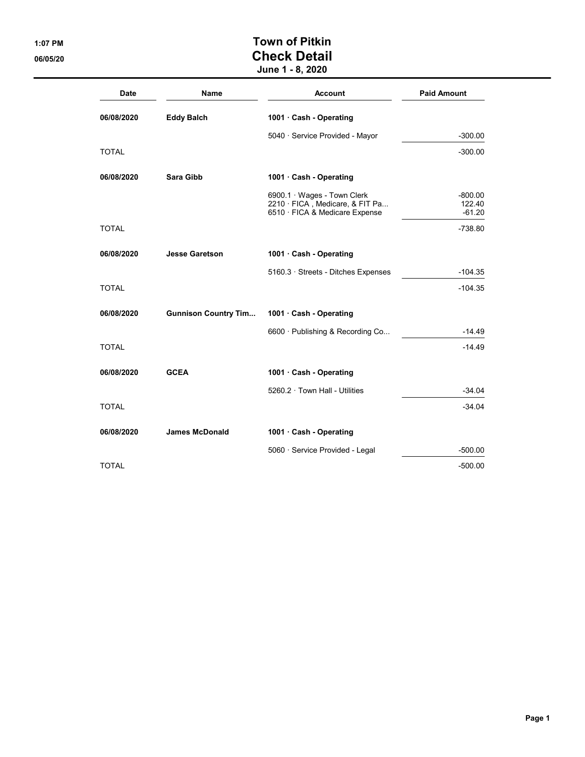## 1:07 PM Town of Pitkin 06/05/20 **Check Detail** June 1 - 8, 2020

| <b>Date</b>  | Name                        | <b>Account</b>                                                                                   | <b>Paid Amount</b>              |
|--------------|-----------------------------|--------------------------------------------------------------------------------------------------|---------------------------------|
| 06/08/2020   | <b>Eddy Balch</b>           | 1001 · Cash - Operating                                                                          |                                 |
|              |                             | 5040 · Service Provided - Mayor                                                                  | $-300.00$                       |
| TOTAL        |                             |                                                                                                  | $-300.00$                       |
| 06/08/2020   | Sara Gibb                   | 1001 · Cash - Operating                                                                          |                                 |
|              |                             | 6900.1 · Wages - Town Clerk<br>2210 · FICA, Medicare, & FIT Pa<br>6510 · FICA & Medicare Expense | $-800.00$<br>122.40<br>$-61.20$ |
| <b>TOTAL</b> |                             |                                                                                                  | $-738.80$                       |
| 06/08/2020   | <b>Jesse Garetson</b>       | 1001 · Cash - Operating                                                                          |                                 |
|              |                             | 5160.3 · Streets - Ditches Expenses                                                              | $-104.35$                       |
| <b>TOTAL</b> |                             |                                                                                                  | $-104.35$                       |
| 06/08/2020   | <b>Gunnison Country Tim</b> | 1001 Cash - Operating                                                                            |                                 |
|              |                             | 6600 · Publishing & Recording Co                                                                 | $-14.49$                        |
| <b>TOTAL</b> |                             |                                                                                                  | $-14.49$                        |
| 06/08/2020   | <b>GCEA</b>                 | 1001 Cash - Operating                                                                            |                                 |
|              |                             | 5260.2 · Town Hall - Utilities                                                                   | $-34.04$                        |
| <b>TOTAL</b> |                             |                                                                                                  | $-34.04$                        |
| 06/08/2020   | <b>James McDonald</b>       | 1001 Cash - Operating                                                                            |                                 |
|              |                             | 5060 · Service Provided - Legal                                                                  | $-500.00$                       |
| TOTAL        |                             |                                                                                                  | $-500.00$                       |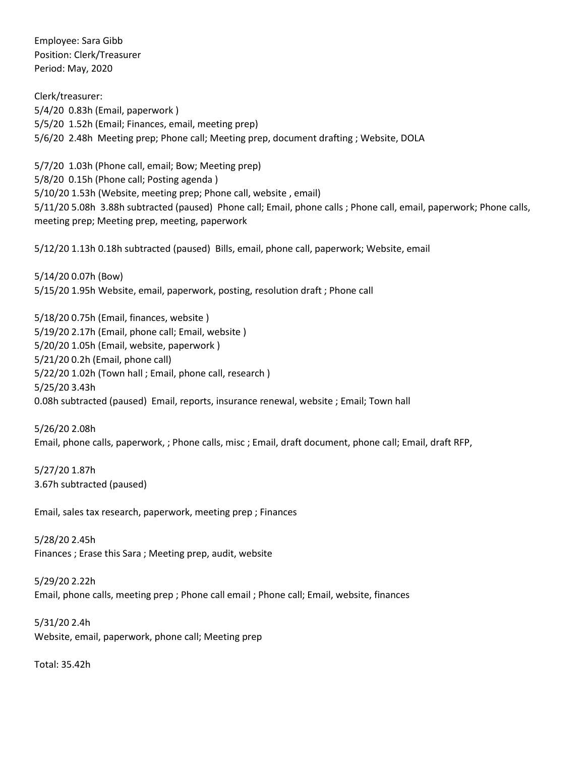Employee: Sara Gibb Position: Clerk/Treasurer Period: May, 2020

Clerk/treasurer: 5/4/20 0.83h (Email, paperwork ) 5/5/20 1.52h (Email; Finances, email, meeting prep) 5/6/20 2.48h Meeting prep; Phone call; Meeting prep, document drafting ; Website, DOLA

5/7/20 1.03h (Phone call, email; Bow; Meeting prep) 5/8/20 0.15h (Phone call; Posting agenda ) 5/10/20 1.53h (Website, meeting prep; Phone call, website , email) 5/11/20 5.08h 3.88h subtracted (paused) Phone call; Email, phone calls ; Phone call, email, paperwork; Phone calls, meeting prep; Meeting prep, meeting, paperwork

5/12/20 1.13h 0.18h subtracted (paused) Bills, email, phone call, paperwork; Website, email

5/14/20 0.07h (Bow) 5/15/20 1.95h Website, email, paperwork, posting, resolution draft ; Phone call

5/18/20 0.75h (Email, finances, website ) 5/19/20 2.17h (Email, phone call; Email, website ) 5/20/20 1.05h (Email, website, paperwork ) 5/21/20 0.2h (Email, phone call) 5/22/20 1.02h (Town hall ; Email, phone call, research ) 5/25/20 3.43h 0.08h subtracted (paused) Email, reports, insurance renewal, website ; Email; Town hall

5/26/20 2.08h Email, phone calls, paperwork, ; Phone calls, misc ; Email, draft document, phone call; Email, draft RFP,

5/27/20 1.87h 3.67h subtracted (paused)

Email, sales tax research, paperwork, meeting prep ; Finances

5/28/20 2.45h Finances ; Erase this Sara ; Meeting prep, audit, website

5/29/20 2.22h Email, phone calls, meeting prep ; Phone call email ; Phone call; Email, website, finances

5/31/20 2.4h Website, email, paperwork, phone call; Meeting prep

Total: 35.42h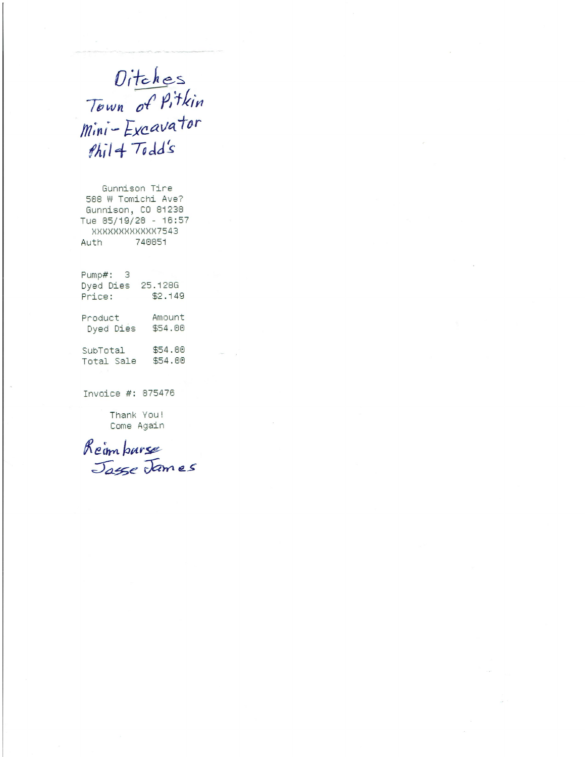Ditches<br>Town of Pitkin<br>Mini-Excavator  $fhi1 + Todd's$ 

Gunnison Tire 508 W Tomichi Ave? Gunnison, CO 81230 Tue 05/19/20 - 16:57 XXXXXXXXXXXX7543 740051 Auth

| Pump#:<br>з<br>Dyed Dies<br>Price: | 25.1286<br>\$2.149 |
|------------------------------------|--------------------|
| Product                            | Amount             |
| Dyed Dies                          | \$54.00            |
| SubTotal                           | \$54.00            |
| Total Sale                         | \$54.00            |

Invoice #: 075476

Thank You! Come Again

Reinharse<br>Jasse James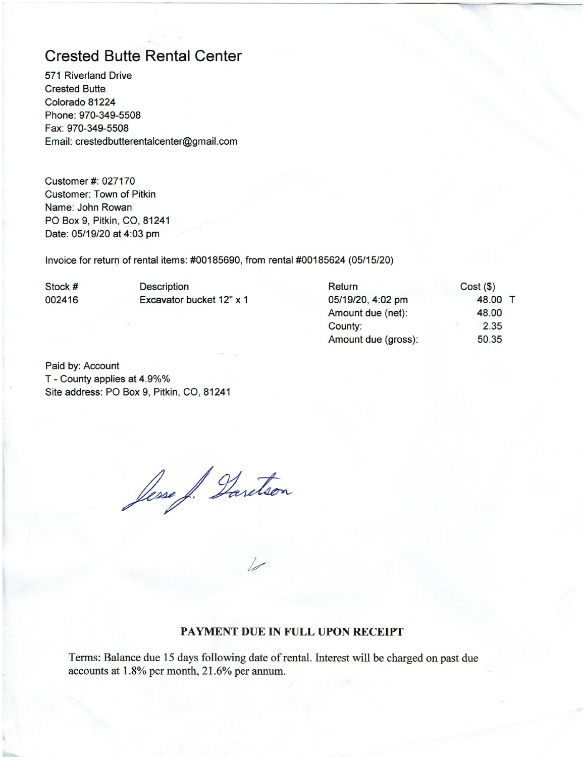## **Crested Butte Rental Center**

571 Riverland Drive **Crested Butte** Colorado 81224 Phone: 970-349-5508 Fax: 970-349-5508 Email: crestedbutterentalcenter@gmail.com

Customer #: 027170 Customer: Town of Pitkin Name: John Rowan PO Box 9, Pitkin, CO, 81241 Date: 05/19/20 at 4:03 pm

Invoice for return of rental items: #00185690, from rental #00185624 (05/15/20)

Stock # 002416 Description Excavator bucket 12" x 1

| Return              | $Cost($ \$) |  |
|---------------------|-------------|--|
| 05/19/20, 4:02 pm   | 48.00 T     |  |
| Amount due (net):   | 48.00       |  |
| County:             | 2.35        |  |
| Amount due (gross): | 50.35       |  |
|                     |             |  |

Paid by: Account T - County applies at 4.9%% Site address: PO Box 9, Pitkin, CO, 81241

Jesse J. Daretson

## PAYMENT DUE IN FULL UPON RECEIPT

Terms: Balance due 15 days following date of rental. Interest will be charged on past due accounts at 1.8% per month, 21.6% per annum.